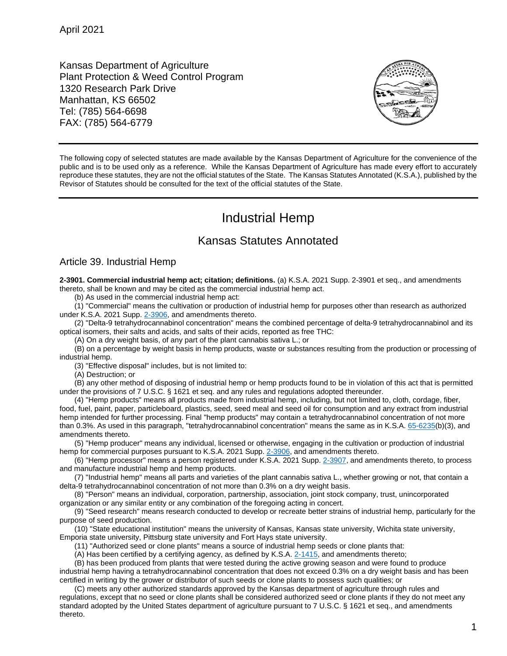Kansas Department of Agriculture Plant Protection & Weed Control Program 1320 Research Park Drive Manhattan, KS 66502 Tel: (785) 564-6698 FAX: (785) 564-6779



The following copy of selected statutes are made available by the Kansas Department of Agriculture for the convenience of the public and is to be used only as a reference. While the Kansas Department of Agriculture has made every effort to accurately reproduce these statutes, they are not the official statutes of the State. The Kansas Statutes Annotated (K.S.A.), published by the Revisor of Statutes should be consulted for the text of the official statutes of the State.

## Industrial Hemp

## Kansas Statutes Annotated

## Article 39. Industrial Hemp

**2-3901. Commercial industrial hemp act; citation; definitions.** (a) K.S.A. 2021 Supp. 2-3901 et seq., and amendments thereto, shall be known and may be cited as the commercial industrial hemp act.

(b) As used in the commercial industrial hemp act:

(1) "Commercial" means the cultivation or production of industrial hemp for purposes other than research as authorized under K.S.A. 2021 Supp. [2-3906,](http://www.ksrevisor.org/statutes/chapters/ch02/002_039_0006.html) and amendments thereto.

(2) "Delta-9 tetrahydrocannabinol concentration" means the combined percentage of delta-9 tetrahydrocannabinol and its optical isomers, their salts and acids, and salts of their acids, reported as free THC:

(A) On a dry weight basis, of any part of the plant cannabis sativa L.; or

(B) on a percentage by weight basis in hemp products, waste or substances resulting from the production or processing of industrial hemp.

(3) "Effective disposal" includes, but is not limited to:

(A) Destruction; or

(B) any other method of disposing of industrial hemp or hemp products found to be in violation of this act that is permitted under the provisions of 7 U.S.C. § 1621 et seq. and any rules and regulations adopted thereunder.

(4) "Hemp products" means all products made from industrial hemp, including, but not limited to, cloth, cordage, fiber, food, fuel, paint, paper, particleboard, plastics, seed, seed meal and seed oil for consumption and any extract from industrial hemp intended for further processing. Final "hemp products" may contain a tetrahydrocannabinol concentration of not more than 0.3%. As used in this paragraph, "tetrahydrocannabinol concentration" means the same as in K.S.A. [65-6235\(](http://www.ksrevisor.org/statutes/chapters/ch65/065_062_0035.html)b)(3), and amendments thereto.

(5) "Hemp producer" means any individual, licensed or otherwise, engaging in the cultivation or production of industrial hemp for commercial purposes pursuant to K.S.A. 2021 Supp. [2-3906,](http://www.ksrevisor.org/statutes/chapters/ch02/002_039_0006.html) and amendments thereto.

(6) "Hemp processor" means a person registered under K.S.A. 2021 Supp. [2-3907,](http://www.ksrevisor.org/statutes/chapters/ch02/002_039_0007.html) and amendments thereto, to process and manufacture industrial hemp and hemp products.

(7) "Industrial hemp" means all parts and varieties of the plant cannabis sativa L., whether growing or not, that contain a delta-9 tetrahydrocannabinol concentration of not more than 0.3% on a dry weight basis.

(8) "Person" means an individual, corporation, partnership, association, joint stock company, trust, unincorporated organization or any similar entity or any combination of the foregoing acting in concert.

(9) "Seed research" means research conducted to develop or recreate better strains of industrial hemp, particularly for the purpose of seed production.

(10) "State educational institution" means the university of Kansas, Kansas state university, Wichita state university, Emporia state university, Pittsburg state university and Fort Hays state university.

(11) "Authorized seed or clone plants" means a source of industrial hemp seeds or clone plants that:

(A) Has been certified by a certifying agency, as defined by K.S.A.  $2-1415$ , and amendments thereto;

(B) has been produced from plants that were tested during the active growing season and were found to produce industrial hemp having a tetrahydrocannabinol concentration that does not exceed 0.3% on a dry weight basis and has been certified in writing by the grower or distributor of such seeds or clone plants to possess such qualities; or

(C) meets any other authorized standards approved by the Kansas department of agriculture through rules and regulations, except that no seed or clone plants shall be considered authorized seed or clone plants if they do not meet any standard adopted by the United States department of agriculture pursuant to 7 U.S.C. § 1621 et seq., and amendments thereto.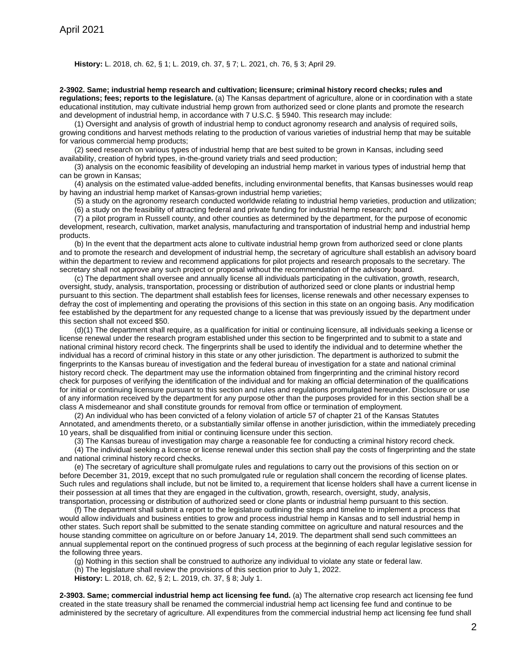## **History:** L. 2018, ch. 62, § 1; L. 2019, ch. 37, § 7; L. 2021, ch. 76, § 3; April 29.

**2-3902. Same; industrial hemp research and cultivation; licensure; criminal history record checks; rules and regulations; fees; reports to the legislature.** (a) The Kansas department of agriculture, alone or in coordination with a state educational institution, may cultivate industrial hemp grown from authorized seed or clone plants and promote the research and development of industrial hemp, in accordance with 7 U.S.C. § 5940. This research may include:

(1) Oversight and analysis of growth of industrial hemp to conduct agronomy research and analysis of required soils, growing conditions and harvest methods relating to the production of various varieties of industrial hemp that may be suitable for various commercial hemp products;

(2) seed research on various types of industrial hemp that are best suited to be grown in Kansas, including seed availability, creation of hybrid types, in-the-ground variety trials and seed production;

(3) analysis on the economic feasibility of developing an industrial hemp market in various types of industrial hemp that can be grown in Kansas;

(4) analysis on the estimated value-added benefits, including environmental benefits, that Kansas businesses would reap by having an industrial hemp market of Kansas-grown industrial hemp varieties;

(5) a study on the agronomy research conducted worldwide relating to industrial hemp varieties, production and utilization;

(6) a study on the feasibility of attracting federal and private funding for industrial hemp research; and

(7) a pilot program in Russell county, and other counties as determined by the department, for the purpose of economic development, research, cultivation, market analysis, manufacturing and transportation of industrial hemp and industrial hemp products.

(b) In the event that the department acts alone to cultivate industrial hemp grown from authorized seed or clone plants and to promote the research and development of industrial hemp, the secretary of agriculture shall establish an advisory board within the department to review and recommend applications for pilot projects and research proposals to the secretary. The secretary shall not approve any such project or proposal without the recommendation of the advisory board.

(c) The department shall oversee and annually license all individuals participating in the cultivation, growth, research, oversight, study, analysis, transportation, processing or distribution of authorized seed or clone plants or industrial hemp pursuant to this section. The department shall establish fees for licenses, license renewals and other necessary expenses to defray the cost of implementing and operating the provisions of this section in this state on an ongoing basis. Any modification fee established by the department for any requested change to a license that was previously issued by the department under this section shall not exceed \$50.

(d)(1) The department shall require, as a qualification for initial or continuing licensure, all individuals seeking a license or license renewal under the research program established under this section to be fingerprinted and to submit to a state and national criminal history record check. The fingerprints shall be used to identify the individual and to determine whether the individual has a record of criminal history in this state or any other jurisdiction. The department is authorized to submit the fingerprints to the Kansas bureau of investigation and the federal bureau of investigation for a state and national criminal history record check. The department may use the information obtained from fingerprinting and the criminal history record check for purposes of verifying the identification of the individual and for making an official determination of the qualifications for initial or continuing licensure pursuant to this section and rules and regulations promulgated hereunder. Disclosure or use of any information received by the department for any purpose other than the purposes provided for in this section shall be a class A misdemeanor and shall constitute grounds for removal from office or termination of employment.

(2) An individual who has been convicted of a felony violation of article 57 of chapter 21 of the Kansas Statutes Annotated, and amendments thereto, or a substantially similar offense in another jurisdiction, within the immediately preceding 10 years, shall be disqualified from initial or continuing licensure under this section.

(3) The Kansas bureau of investigation may charge a reasonable fee for conducting a criminal history record check.

(4) The individual seeking a license or license renewal under this section shall pay the costs of fingerprinting and the state and national criminal history record checks.

(e) The secretary of agriculture shall promulgate rules and regulations to carry out the provisions of this section on or before December 31, 2019, except that no such promulgated rule or regulation shall concern the recording of license plates. Such rules and regulations shall include, but not be limited to, a requirement that license holders shall have a current license in their possession at all times that they are engaged in the cultivation, growth, research, oversight, study, analysis, transportation, processing or distribution of authorized seed or clone plants or industrial hemp pursuant to this section.

(f) The department shall submit a report to the legislature outlining the steps and timeline to implement a process that would allow individuals and business entities to grow and process industrial hemp in Kansas and to sell industrial hemp in other states. Such report shall be submitted to the senate standing committee on agriculture and natural resources and the house standing committee on agriculture on or before January 14, 2019. The department shall send such committees an annual supplemental report on the continued progress of such process at the beginning of each regular legislative session for the following three years.

(g) Nothing in this section shall be construed to authorize any individual to violate any state or federal law.

(h) The legislature shall review the provisions of this section prior to July 1, 2022.

**History:** L. 2018, ch. 62, § 2; L. 2019, ch. 37, § 8; July 1.

**2-3903. Same; commercial industrial hemp act licensing fee fund.** (a) The alternative crop research act licensing fee fund created in the state treasury shall be renamed the commercial industrial hemp act licensing fee fund and continue to be administered by the secretary of agriculture. All expenditures from the commercial industrial hemp act licensing fee fund shall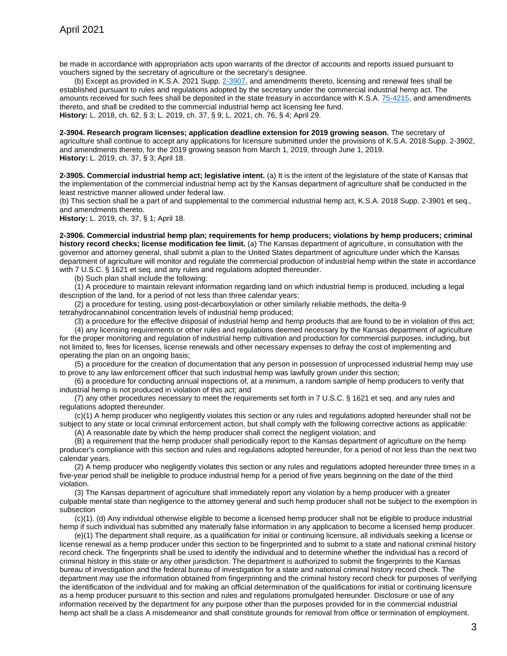be made in accordance with appropriation acts upon warrants of the director of accounts and reports issued pursuant to vouchers signed by the secretary of agriculture or the secretary's designee.

(b) Except as provided in K.S.A. 2021 Supp. [2-3907,](http://www.ksrevisor.org/statutes/chapters/ch02/002_039_0007.html) and amendments thereto, licensing and renewal fees shall be established pursuant to rules and regulations adopted by the secretary under the commercial industrial hemp act. The amounts received for such fees shall be deposited in the state treasury in accordance with K.S.A. [75-4215,](http://www.ksrevisor.org/statutes/chapters/ch75/075_042_0015.html) and amendments thereto, and shall be credited to the commercial industrial hemp act licensing fee fund. **History:** L. 2018, ch. 62, § 3; L. 2019, ch. 37, § 9; L. 2021, ch. 76, § 4; April 29.

**2-3904. Research program licenses; application deadline extension for 2019 growing season.** The secretary of agriculture shall continue to accept any applications for licensure submitted under the provisions of K.S.A. 2018 Supp. 2-3902, and amendments thereto, for the 2019 growing season from March 1, 2019, through June 1, 2019. **History:** L. 2019, ch. 37, § 3; April 18.

**2-3905. Commercial industrial hemp act; legislative intent.** (a) It is the intent of the legislature of the state of Kansas that the implementation of the commercial industrial hemp act by the Kansas department of agriculture shall be conducted in the least restrictive manner allowed under federal law.

(b) This section shall be a part of and supplemental to the commercial industrial hemp act, K.S.A. 2018 Supp. 2-3901 et seq., and amendments thereto.

**History:** L. 2019, ch. 37, § 1; April 18.

**2-3906. Commercial industrial hemp plan; requirements for hemp producers; violations by hemp producers; criminal history record checks; license modification fee limit.** (a) The Kansas department of agriculture, in consultation with the governor and attorney general, shall submit a plan to the United States department of agriculture under which the Kansas department of agriculture will monitor and regulate the commercial production of industrial hemp within the state in accordance with 7 U.S.C. § 1621 et seq. and any rules and regulations adopted thereunder.

(b) Such plan shall include the following:

(1) A procedure to maintain relevant information regarding land on which industrial hemp is produced, including a legal description of the land, for a period of not less than three calendar years;

(2) a procedure for testing, using post-decarboxylation or other similarly reliable methods, the delta-9 tetrahydrocannabinol concentration levels of industrial hemp produced;

(3) a procedure for the effective disposal of industrial hemp and hemp products that are found to be in violation of this act; (4) any licensing requirements or other rules and regulations deemed necessary by the Kansas department of agriculture for the proper monitoring and regulation of industrial hemp cultivation and production for commercial purposes, including, but not limited to, fees for licenses, license renewals and other necessary expenses to defray the cost of implementing and operating the plan on an ongoing basis;

(5) a procedure for the creation of documentation that any person in possession of unprocessed industrial hemp may use to prove to any law enforcement officer that such industrial hemp was lawfully grown under this section;

(6) a procedure for conducting annual inspections of, at a minimum, a random sample of hemp producers to verify that industrial hemp is not produced in violation of this act; and

(7) any other procedures necessary to meet the requirements set forth in 7 U.S.C. § 1621 et seq. and any rules and regulations adopted thereunder.

(c)(1) A hemp producer who negligently violates this section or any rules and regulations adopted hereunder shall not be subject to any state or local criminal enforcement action, but shall comply with the following corrective actions as applicable:

(A) A reasonable date by which the hemp producer shall correct the negligent violation; and

(B) a requirement that the hemp producer shall periodically report to the Kansas department of agriculture on the hemp producer's compliance with this section and rules and regulations adopted hereunder, for a period of not less than the next two calendar years.

(2) A hemp producer who negligently violates this section or any rules and regulations adopted hereunder three times in a five-year period shall be ineligible to produce industrial hemp for a period of five years beginning on the date of the third violation.

(3) The Kansas department of agriculture shall immediately report any violation by a hemp producer with a greater culpable mental state than negligence to the attorney general and such hemp producer shall not be subject to the exemption in subsection

(c)(1). (d) Any individual otherwise eligible to become a licensed hemp producer shall not be eligible to produce industrial hemp if such individual has submitted any materially false information in any application to become a licensed hemp producer.

(e)(1) The department shall require, as a qualification for initial or continuing licensure, all individuals seeking a license or license renewal as a hemp producer under this section to be fingerprinted and to submit to a state and national criminal history record check. The fingerprints shall be used to identify the individual and to determine whether the individual has a record of criminal history in this state or any other jurisdiction. The department is authorized to submit the fingerprints to the Kansas bureau of investigation and the federal bureau of investigation for a state and national criminal history record check. The department may use the information obtained from fingerprinting and the criminal history record check for purposes of verifying the identification of the individual and for making an official determination of the qualifications for initial or continuing licensure as a hemp producer pursuant to this section and rules and regulations promulgated hereunder. Disclosure or use of any information received by the department for any purpose other than the purposes provided for in the commercial industrial hemp act shall be a class A misdemeanor and shall constitute grounds for removal from office or termination of employment.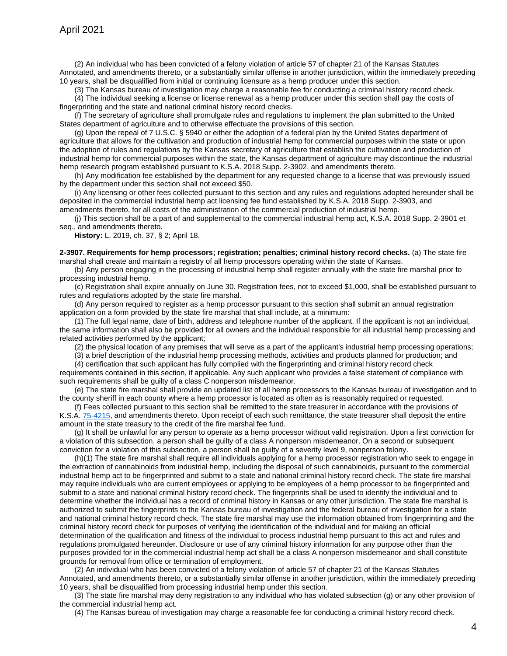(2) An individual who has been convicted of a felony violation of article 57 of chapter 21 of the Kansas Statutes Annotated, and amendments thereto, or a substantially similar offense in another jurisdiction, within the immediately preceding 10 years, shall be disqualified from initial or continuing licensure as a hemp producer under this section.

(3) The Kansas bureau of investigation may charge a reasonable fee for conducting a criminal history record check. (4) The individual seeking a license or license renewal as a hemp producer under this section shall pay the costs of fingerprinting and the state and national criminal history record checks.

(f) The secretary of agriculture shall promulgate rules and regulations to implement the plan submitted to the United States department of agriculture and to otherwise effectuate the provisions of this section.

(g) Upon the repeal of 7 U.S.C. § 5940 or either the adoption of a federal plan by the United States department of agriculture that allows for the cultivation and production of industrial hemp for commercial purposes within the state or upon the adoption of rules and regulations by the Kansas secretary of agriculture that establish the cultivation and production of industrial hemp for commercial purposes within the state, the Kansas department of agriculture may discontinue the industrial hemp research program established pursuant to K.S.A. 2018 Supp. 2-3902, and amendments thereto.

(h) Any modification fee established by the department for any requested change to a license that was previously issued by the department under this section shall not exceed \$50.

(i) Any licensing or other fees collected pursuant to this section and any rules and regulations adopted hereunder shall be deposited in the commercial industrial hemp act licensing fee fund established by K.S.A. 2018 Supp. 2-3903, and amendments thereto, for all costs of the administration of the commercial production of industrial hemp.

(j) This section shall be a part of and supplemental to the commercial industrial hemp act, K.S.A. 2018 Supp. 2-3901 et seq., and amendments thereto.

**History:** L. 2019, ch. 37, § 2; April 18.

**2-3907. Requirements for hemp processors; registration; penalties; criminal history record checks.** (a) The state fire marshal shall create and maintain a registry of all hemp processors operating within the state of Kansas.

(b) Any person engaging in the processing of industrial hemp shall register annually with the state fire marshal prior to processing industrial hemp.

(c) Registration shall expire annually on June 30. Registration fees, not to exceed \$1,000, shall be established pursuant to rules and regulations adopted by the state fire marshal.

(d) Any person required to register as a hemp processor pursuant to this section shall submit an annual registration application on a form provided by the state fire marshal that shall include, at a minimum:

(1) The full legal name, date of birth, address and telephone number of the applicant. If the applicant is not an individual, the same information shall also be provided for all owners and the individual responsible for all industrial hemp processing and related activities performed by the applicant;

(2) the physical location of any premises that will serve as a part of the applicant's industrial hemp processing operations;

(3) a brief description of the industrial hemp processing methods, activities and products planned for production; and

(4) certification that such applicant has fully complied with the fingerprinting and criminal history record check

requirements contained in this section, if applicable. Any such applicant who provides a false statement of compliance with such requirements shall be guilty of a class C nonperson misdemeanor.

(e) The state fire marshal shall provide an updated list of all hemp processors to the Kansas bureau of investigation and to the county sheriff in each county where a hemp processor is located as often as is reasonably required or requested.

(f) Fees collected pursuant to this section shall be remitted to the state treasurer in accordance with the provisions of K.S.A. [75-4215,](http://www.ksrevisor.org/statutes/chapters/ch75/075_042_0015.html) and amendments thereto. Upon receipt of each such remittance, the state treasurer shall deposit the entire amount in the state treasury to the credit of the fire marshal fee fund.

(g) It shall be unlawful for any person to operate as a hemp processor without valid registration. Upon a first conviction for a violation of this subsection, a person shall be guilty of a class A nonperson misdemeanor. On a second or subsequent conviction for a violation of this subsection, a person shall be guilty of a severity level 9, nonperson felony.

(h)(1) The state fire marshal shall require all individuals applying for a hemp processor registration who seek to engage in the extraction of cannabinoids from industrial hemp, including the disposal of such cannabinoids, pursuant to the commercial industrial hemp act to be fingerprinted and submit to a state and national criminal history record check. The state fire marshal may require individuals who are current employees or applying to be employees of a hemp processor to be fingerprinted and submit to a state and national criminal history record check. The fingerprints shall be used to identify the individual and to determine whether the individual has a record of criminal history in Kansas or any other jurisdiction. The state fire marshal is authorized to submit the fingerprints to the Kansas bureau of investigation and the federal bureau of investigation for a state and national criminal history record check. The state fire marshal may use the information obtained from fingerprinting and the criminal history record check for purposes of verifying the identification of the individual and for making an official determination of the qualification and fitness of the individual to process industrial hemp pursuant to this act and rules and regulations promulgated hereunder. Disclosure or use of any criminal history information for any purpose other than the purposes provided for in the commercial industrial hemp act shall be a class A nonperson misdemeanor and shall constitute grounds for removal from office or termination of employment.

(2) An individual who has been convicted of a felony violation of article 57 of chapter 21 of the Kansas Statutes Annotated, and amendments thereto, or a substantially similar offense in another jurisdiction, within the immediately preceding 10 years, shall be disqualified from processing industrial hemp under this section.

(3) The state fire marshal may deny registration to any individual who has violated subsection (g) or any other provision of the commercial industrial hemp act.

(4) The Kansas bureau of investigation may charge a reasonable fee for conducting a criminal history record check.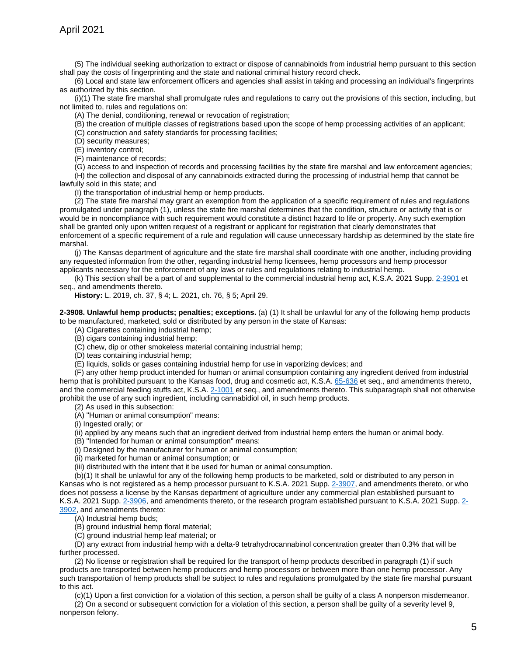(5) The individual seeking authorization to extract or dispose of cannabinoids from industrial hemp pursuant to this section shall pay the costs of fingerprinting and the state and national criminal history record check.

(6) Local and state law enforcement officers and agencies shall assist in taking and processing an individual's fingerprints as authorized by this section.

(i)(1) The state fire marshal shall promulgate rules and regulations to carry out the provisions of this section, including, but not limited to, rules and regulations on:

(A) The denial, conditioning, renewal or revocation of registration;

(B) the creation of multiple classes of registrations based upon the scope of hemp processing activities of an applicant;

(C) construction and safety standards for processing facilities;

(D) security measures;

(E) inventory control;

(F) maintenance of records;

(G) access to and inspection of records and processing facilities by the state fire marshal and law enforcement agencies;

(H) the collection and disposal of any cannabinoids extracted during the processing of industrial hemp that cannot be lawfully sold in this state; and

(I) the transportation of industrial hemp or hemp products.

 $(2)$  The state fire marshal may grant an exemption from the application of a specific requirement of rules and regulations promulgated under paragraph (1), unless the state fire marshal determines that the condition, structure or activity that is or would be in noncompliance with such requirement would constitute a distinct hazard to life or property. Any such exemption shall be granted only upon written request of a registrant or applicant for registration that clearly demonstrates that enforcement of a specific requirement of a rule and regulation will cause unnecessary hardship as determined by the state fire marshal.

(j) The Kansas department of agriculture and the state fire marshal shall coordinate with one another, including providing any requested information from the other, regarding industrial hemp licensees, hemp processors and hemp processor applicants necessary for the enforcement of any laws or rules and regulations relating to industrial hemp.

(k) This section shall be a part of and supplemental to the commercial industrial hemp act, K.S.A. 2021 Supp. [2-3901](http://www.ksrevisor.org/statutes/chapters/ch02/002_039_0001.html) et seq., and amendments thereto.

**History:** L. 2019, ch. 37, § 4; L. 2021, ch. 76, § 5; April 29.

**2-3908. Unlawful hemp products; penalties; exceptions.** (a) (1) It shall be unlawful for any of the following hemp products to be manufactured, marketed, sold or distributed by any person in the state of Kansas:

(A) Cigarettes containing industrial hemp;

- (B) cigars containing industrial hemp;
- (C) chew, dip or other smokeless material containing industrial hemp;
- (D) teas containing industrial hemp;
- (E) liquids, solids or gases containing industrial hemp for use in vaporizing devices; and

(F) any other hemp product intended for human or animal consumption containing any ingredient derived from industrial hemp that is prohibited pursuant to the Kansas food, drug and cosmetic act, K.S.A. [65-636](http://www.ksrevisor.org/statutes/chapters/ch65/065_006_0036.html) et seq., and amendments thereto, and the commercial feeding stuffs act, K.S.A. [2-1001](http://www.ksrevisor.org/statutes/chapters/ch02/002_010_0001.html) et seq., and amendments thereto. This subparagraph shall not otherwise prohibit the use of any such ingredient, including cannabidiol oil, in such hemp products.

(2) As used in this subsection:

(A) "Human or animal consumption" means:

(i) Ingested orally; or

(ii) applied by any means such that an ingredient derived from industrial hemp enters the human or animal body.

(B) "Intended for human or animal consumption" means:

(i) Designed by the manufacturer for human or animal consumption;

(ii) marketed for human or animal consumption; or

(iii) distributed with the intent that it be used for human or animal consumption.

(b)(1) It shall be unlawful for any of the following hemp products to be marketed, sold or distributed to any person in Kansas who is not registered as a hemp processor pursuant to K.S.A. 2021 Supp. [2-3907,](http://www.ksrevisor.org/statutes/chapters/ch02/002_039_0007.html) and amendments thereto, or who does not possess a license by the Kansas department of agriculture under any commercial plan established pursuant to K.S.A. 2021 Supp. [2-3906,](http://www.ksrevisor.org/statutes/chapters/ch02/002_039_0006.html) and amendments thereto, or the research program established pursuant to K.S.A. 2021 Supp. [2-](http://www.ksrevisor.org/statutes/chapters/ch02/002_039_0002.html) [3902,](http://www.ksrevisor.org/statutes/chapters/ch02/002_039_0002.html) and amendments thereto:

(A) Industrial hemp buds;

(B) ground industrial hemp floral material;

(C) ground industrial hemp leaf material; or

(D) any extract from industrial hemp with a delta-9 tetrahydrocannabinol concentration greater than 0.3% that will be further processed.

(2) No license or registration shall be required for the transport of hemp products described in paragraph (1) if such products are transported between hemp producers and hemp processors or between more than one hemp processor. Any such transportation of hemp products shall be subject to rules and regulations promulgated by the state fire marshal pursuant to this act.

(c)(1) Upon a first conviction for a violation of this section, a person shall be guilty of a class A nonperson misdemeanor.

(2) On a second or subsequent conviction for a violation of this section, a person shall be guilty of a severity level 9, nonperson felony.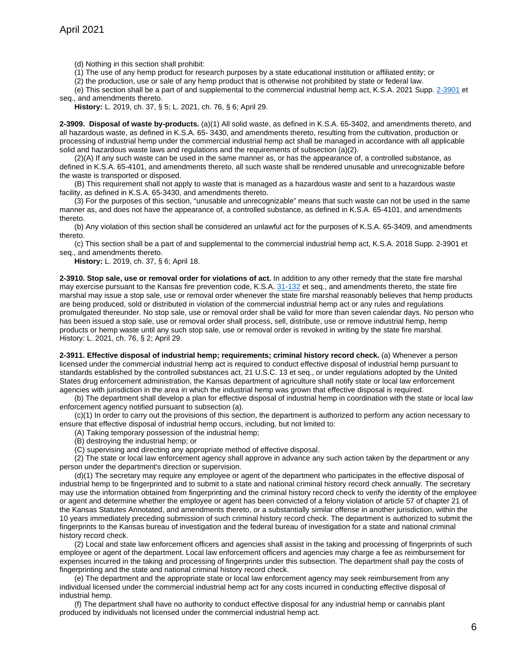(d) Nothing in this section shall prohibit:

(1) The use of any hemp product for research purposes by a state educational institution or affiliated entity; or

(2) the production, use or sale of any hemp product that is otherwise not prohibited by state or federal law.

(e) This section shall be a part of and supplemental to the commercial industrial hemp act, K.S.A. 2021 Supp. [2-3901](http://www.ksrevisor.org/statutes/chapters/ch02/002_039_0001.html) et seq., and amendments thereto.

**History:** L. 2019, ch. 37, § 5; L. 2021, ch. 76, § 6; April 29.

**2-3909. Disposal of waste by-products.** (a)(1) All solid waste, as defined in K.S.A. 65-3402, and amendments thereto, and all hazardous waste, as defined in K.S.A. 65- 3430, and amendments thereto, resulting from the cultivation, production or processing of industrial hemp under the commercial industrial hemp act shall be managed in accordance with all applicable solid and hazardous waste laws and regulations and the requirements of subsection  $(a)(2)$ .

 $(2)(A)$  If any such waste can be used in the same manner as, or has the appearance of, a controlled substance, as defined in K.S.A. 65-4101, and amendments thereto, all such waste shall be rendered unusable and unrecognizable before the waste is transported or disposed.

(B) This requirement shall not apply to waste that is managed as a hazardous waste and sent to a hazardous waste facility, as defined in K.S.A. 65-3430, and amendments thereto.

(3) For the purposes of this section, "unusable and unrecognizable" means that such waste can not be used in the same manner as, and does not have the appearance of, a controlled substance, as defined in K.S.A. 65-4101, and amendments thereto.

(b) Any violation of this section shall be considered an unlawful act for the purposes of K.S.A. 65-3409, and amendments thereto.

(c) This section shall be a part of and supplemental to the commercial industrial hemp act, K.S.A. 2018 Supp. 2-3901 et seq., and amendments thereto.

**History:** L. 2019, ch. 37, § 6; April 18.

**2-3910. Stop sale, use or removal order for violations of act.** In addition to any other remedy that the state fire marshal may exercise pursuant to the Kansas fire prevention code, K.S.A. [31-132](http://www.ksrevisor.org/statutes/chapters/ch31/031_001_0032.html) et seq., and amendments thereto, the state fire marshal may issue a stop sale, use or removal order whenever the state fire marshal reasonably believes that hemp products are being produced, sold or distributed in violation of the commercial industrial hemp act or any rules and regulations promulgated thereunder. No stop sale, use or removal order shall be valid for more than seven calendar days. No person who has been issued a stop sale, use or removal order shall process, sell, distribute, use or remove industrial hemp, hemp products or hemp waste until any such stop sale, use or removal order is revoked in writing by the state fire marshal. History: L. 2021, ch. 76, § 2; April 29.

**2-3911. Effective disposal of industrial hemp; requirements; criminal history record check.** (a) Whenever a person licensed under the commercial industrial hemp act is required to conduct effective disposal of industrial hemp pursuant to standards established by the controlled substances act, 21 U.S.C. 13 et seq., or under regulations adopted by the United States drug enforcement administration, the Kansas department of agriculture shall notify state or local law enforcement agencies with jurisdiction in the area in which the industrial hemp was grown that effective disposal is required.

(b) The department shall develop a plan for effective disposal of industrial hemp in coordination with the state or local law enforcement agency notified pursuant to subsection (a).

(c)(1) In order to carry out the provisions of this section, the department is authorized to perform any action necessary to ensure that effective disposal of industrial hemp occurs, including, but not limited to:

(A) Taking temporary possession of the industrial hemp;

(B) destroying the industrial hemp; or

(C) supervising and directing any appropriate method of effective disposal.

(2) The state or local law enforcement agency shall approve in advance any such action taken by the department or any person under the department's direction or supervision.

(d)(1) The secretary may require any employee or agent of the department who participates in the effective disposal of industrial hemp to be fingerprinted and to submit to a state and national criminal history record check annually. The secretary may use the information obtained from fingerprinting and the criminal history record check to verify the identity of the employee or agent and determine whether the employee or agent has been convicted of a felony violation of article 57 of chapter 21 of the Kansas Statutes Annotated, and amendments thereto, or a substantially similar offense in another jurisdiction, within the 10 years immediately preceding submission of such criminal history record check. The department is authorized to submit the fingerprints to the Kansas bureau of investigation and the federal bureau of investigation for a state and national criminal history record check.

(2) Local and state law enforcement officers and agencies shall assist in the taking and processing of fingerprints of such employee or agent of the department. Local law enforcement officers and agencies may charge a fee as reimbursement for expenses incurred in the taking and processing of fingerprints under this subsection. The department shall pay the costs of fingerprinting and the state and national criminal history record check.

(e) The department and the appropriate state or local law enforcement agency may seek reimbursement from any individual licensed under the commercial industrial hemp act for any costs incurred in conducting effective disposal of industrial hemp.

(f) The department shall have no authority to conduct effective disposal for any industrial hemp or cannabis plant produced by individuals not licensed under the commercial industrial hemp act.